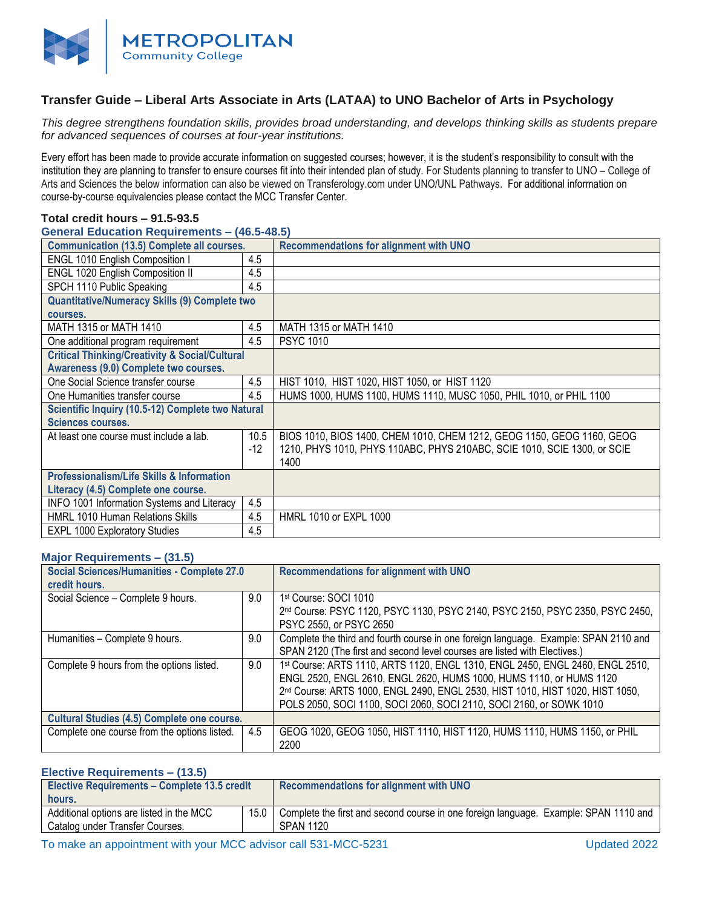

# **Transfer Guide – Liberal Arts Associate in Arts (LATAA) to UNO Bachelor of Arts in Psychology**

*This degree strengthens foundation skills, provides broad understanding, and develops thinking skills as students prepare for advanced sequences of courses at four-year institutions.* 

Every effort has been made to provide accurate information on suggested courses; however, it is the student's responsibility to consult with the institution they are planning to transfer to ensure courses fit into their intended plan of study. For Students planning to transfer to UNO – College of Arts and Sciences the below information can also be viewed on Transferology.com under UNO/UNL Pathways. For additional information on course-by-course equivalencies please contact the MCC Transfer Center.

#### **Total credit hours – 91.5-93.5**

### **General Education Requirements – (46.5-48.5)**

| <b>Communication (13.5) Complete all courses.</b>         |      | <b>Recommendations for alignment with UNO</b>                            |
|-----------------------------------------------------------|------|--------------------------------------------------------------------------|
| ENGL 1010 English Composition I                           | 4.5  |                                                                          |
| <b>ENGL 1020 English Composition II</b>                   | 4.5  |                                                                          |
| SPCH 1110 Public Speaking                                 | 4.5  |                                                                          |
| <b>Quantitative/Numeracy Skills (9) Complete two</b>      |      |                                                                          |
| courses.                                                  |      |                                                                          |
| MATH 1315 or MATH 1410                                    | 4.5  | MATH 1315 or MATH 1410                                                   |
| One additional program requirement                        | 4.5  | <b>PSYC 1010</b>                                                         |
| <b>Critical Thinking/Creativity &amp; Social/Cultural</b> |      |                                                                          |
| Awareness (9.0) Complete two courses.                     |      |                                                                          |
| One Social Science transfer course                        | 4.5  | HIST 1010, HIST 1020, HIST 1050, or HIST 1120                            |
| One Humanities transfer course                            | 4.5  | HUMS 1000, HUMS 1100, HUMS 1110, MUSC 1050, PHIL 1010, or PHIL 1100      |
| Scientific Inquiry (10.5-12) Complete two Natural         |      |                                                                          |
| <b>Sciences courses.</b>                                  |      |                                                                          |
| At least one course must include a lab.                   | 10.5 | BIOS 1010, BIOS 1400, CHEM 1010, CHEM 1212, GEOG 1150, GEOG 1160, GEOG   |
|                                                           | -12  | 1210, PHYS 1010, PHYS 110ABC, PHYS 210ABC, SCIE 1010, SCIE 1300, or SCIE |
|                                                           |      | 1400                                                                     |
| <b>Professionalism/Life Skills &amp; Information</b>      |      |                                                                          |
| Literacy (4.5) Complete one course.                       |      |                                                                          |
| INFO 1001 Information Systems and Literacy                | 4.5  |                                                                          |
| <b>HMRL 1010 Human Relations Skills</b>                   | 4.5  | HMRL 1010 or EXPL 1000                                                   |
| <b>EXPL 1000 Exploratory Studies</b>                      | 4.5  |                                                                          |

## **Major Requirements – (31.5)**

| <b>Social Sciences/Humanities - Complete 27.0</b>  |     | Recommendations for alignment with UNO                                               |
|----------------------------------------------------|-----|--------------------------------------------------------------------------------------|
| credit hours.                                      |     |                                                                                      |
| Social Science - Complete 9 hours.                 | 9.0 | 1 <sup>st</sup> Course: SOCI 1010                                                    |
|                                                    |     |                                                                                      |
|                                                    |     | 2nd Course: PSYC 1120, PSYC 1130, PSYC 2140, PSYC 2150, PSYC 2350, PSYC 2450,        |
|                                                    |     | PSYC 2550, or PSYC 2650                                                              |
| Humanities - Complete 9 hours.                     | 9.0 | Complete the third and fourth course in one foreign language. Example: SPAN 2110 and |
|                                                    |     | SPAN 2120 (The first and second level courses are listed with Electives.)            |
| Complete 9 hours from the options listed.          | 9.0 | 1st Course: ARTS 1110, ARTS 1120, ENGL 1310, ENGL 2450, ENGL 2460, ENGL 2510,        |
|                                                    |     | ENGL 2520, ENGL 2610, ENGL 2620, HUMS 1000, HUMS 1110, or HUMS 1120                  |
|                                                    |     | 2nd Course: ARTS 1000, ENGL 2490, ENGL 2530, HIST 1010, HIST 1020, HIST 1050,        |
|                                                    |     | POLS 2050, SOCI 1100, SOCI 2060, SOCI 2110, SOCI 2160, or SOWK 1010                  |
| <b>Cultural Studies (4.5) Complete one course.</b> |     |                                                                                      |
| Complete one course from the options listed.       | 4.5 | GEOG 1020, GEOG 1050, HIST 1110, HIST 1120, HUMS 1110, HUMS 1150, or PHIL            |
|                                                    |     | 2200                                                                                 |

#### **Elective Requirements – (13.5)**

| <b>Elective Requirements - Complete 13.5 credit</b>                         |                | Recommendations for alignment with UNO                                                                   |
|-----------------------------------------------------------------------------|----------------|----------------------------------------------------------------------------------------------------------|
| hours.                                                                      |                |                                                                                                          |
| Additional options are listed in the MCC<br>Catalog under Transfer Courses. | $15.0$ $\vert$ | Complete the first and second course in one foreign language. Example: SPAN 1110 and<br><b>SPAN 1120</b> |

To make an appointment with your MCC advisor call 531-MCC-5231 Updated 2022